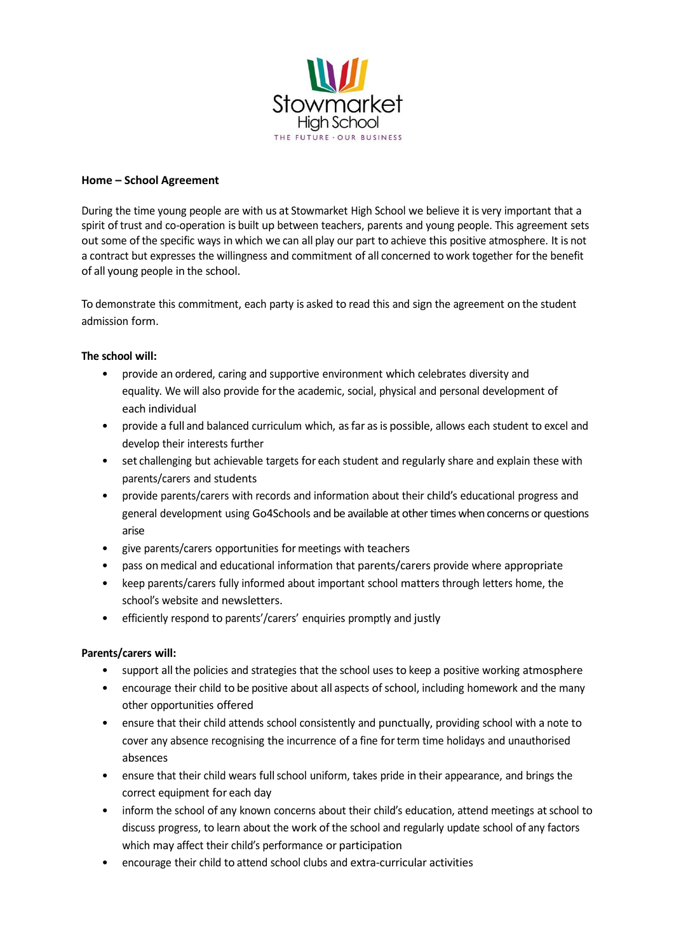

## **Home – School Agreement**

During the time young people are with us at Stowmarket High School we believe it is very important that a spirit of trust and co-operation is built up between teachers, parents and young people. This agreement sets out some of the specific ways in which we can all play our part to achieve this positive atmosphere. It is not a contract but expresses the willingness and commitment of all concerned to work together forthe benefit of all young people in the school.

To demonstrate this commitment, each party is asked to read this and sign the agreement on the student admission form.

## **The school will:**

- provide an ordered, caring and supportive environment which celebrates diversity and equality. We will also provide forthe academic, social, physical and personal development of each individual
- provide a full and balanced curriculum which, as far as is possible, allows each student to excel and develop their interests further
- set challenging but achievable targets for each student and regularly share and explain these with parents/carers and students
- provide parents/carers with records and information about their child's educational progress and general development using Go4Schools and be available at other times when concerns or questions arise
- give parents/carers opportunities for meetings with teachers
- pass on medical and educational information that parents/carers provide where appropriate
- keep parents/carers fully informed about important school matters through letters home, the school's website and newsletters.
- efficiently respond to parents'/carers' enquiries promptly and justly

## **Parents/carers will:**

- support all the policies and strategies that the school uses to keep a positive working atmosphere
- encourage their child to be positive about all aspects of school, including homework and the many other opportunities offered
- ensure that their child attends school consistently and punctually, providing school with a note to cover any absence recognising the incurrence of a fine forterm time holidays and unauthorised absences
- ensure that their child wears full school uniform, takes pride in their appearance, and brings the correct equipment for each day
- inform the school of any known concerns about their child's education, attend meetings at school to discuss progress, to learn about the work of the school and regularly update school of any factors which may affect their child's performance or participation
- encourage their child to attend school clubs and extra-curricular activities